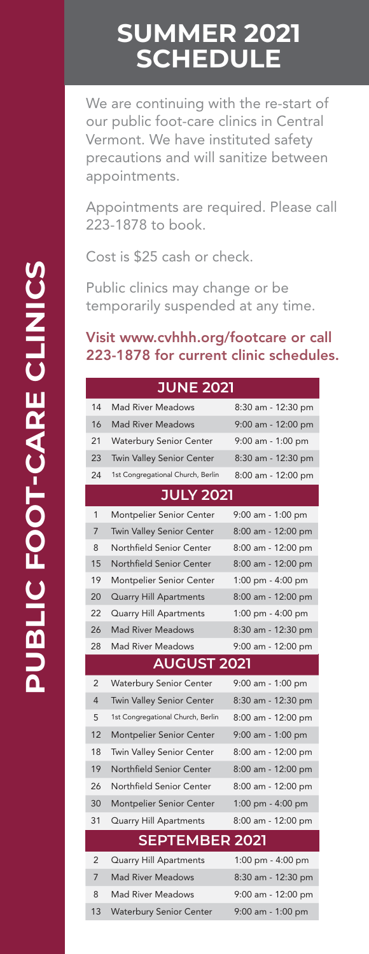## **SUMMER 2021 SCHEDULE**

We are continuing with the re-start of our public foot-care clinics in Central Vermont. We have instituted safety precautions and will sanitize between appointments.

Appointments are required. Please call 223-1878 to book.

Cost is \$25 cash or check.

Public clinics may change or be temporarily suspended at any time.

#### Visit www.cvhhh.org/footcare or call 223-1878 for current clinic schedules.

|                | <b>JUNE 2021</b>                  |                     |
|----------------|-----------------------------------|---------------------|
| 14             | <b>Mad River Meadows</b>          | 8:30 am - 12:30 pm  |
| 16             | <b>Mad River Meadows</b>          | 9:00 am - 12:00 pm  |
| 21             | <b>Waterbury Senior Center</b>    | 9:00 am - 1:00 pm   |
| 23             | <b>Twin Valley Senior Center</b>  | 8:30 am - 12:30 pm  |
| 24             | 1st Congregational Church, Berlin | 8:00 am - 12:00 pm  |
|                | <b>JULY 2021</b>                  |                     |
| 1              | Montpelier Senior Center          | 9:00 am - 1:00 pm   |
| 7              | <b>Twin Valley Senior Center</b>  | 8:00 am - 12:00 pm  |
| 8              | Northfield Senior Center          | 8:00 am - 12:00 pm  |
| 15             | Northfield Senior Center          | 8:00 am - 12:00 pm  |
| 19             | Montpelier Senior Center          | 1:00 pm - $4:00$ pm |
| 20             | <b>Quarry Hill Apartments</b>     | 8:00 am - 12:00 pm  |
| 22             | Quarry Hill Apartments            | 1:00 pm - 4:00 pm   |
| 26             | <b>Mad River Meadows</b>          | 8:30 am - 12:30 pm  |
| 28             | <b>Mad River Meadows</b>          | 9:00 am - 12:00 pm  |
|                |                                   |                     |
|                | <b>AUGUST 2021</b>                |                     |
| $\overline{2}$ | <b>Waterbury Senior Center</b>    | 9:00 am - 1:00 pm   |
| $\overline{4}$ | <b>Twin Valley Senior Center</b>  | 8:30 am - 12:30 pm  |
| 5              | 1st Congregational Church, Berlin | 8:00 am - 12:00 pm  |
| 12             | <b>Montpelier Senior Center</b>   | 9:00 am - 1:00 pm   |
| 18             | <b>Twin Valley Senior Center</b>  | 8:00 am - 12:00 pm  |
| 19             | Northfield Senior Center          | 8:00 am - 12:00 pm  |
| 26             | Northfield Senior Center          | 8:00 am - 12:00 pm  |
| 30             | <b>Montpelier Senior Center</b>   | 1:00 pm - $4:00$ pm |
| 31             | Quarry Hill Apartments            | 8:00 am - 12:00 pm  |
|                | <b>SEPTEMBER 2021</b>             |                     |
| 2              | Quarry Hill Apartments            | 1:00 pm - 4:00 pm   |
| 7              | <b>Mad River Meadows</b>          | 8:30 am - 12:30 pm  |
| 8              | <b>Mad River Meadows</b>          | 9:00 am - 12:00 pm  |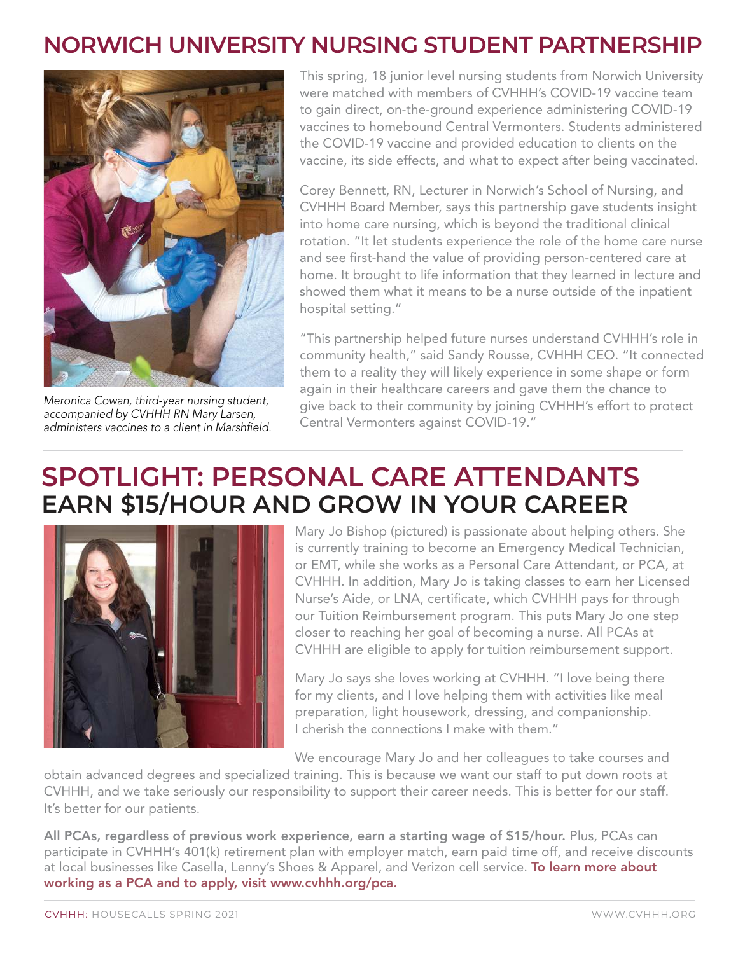#### **NORWICH UNIVERSITY NURSING STUDENT PARTNERSHIP**



Meronica Cowan, third-year nursing student, accompanied by CVHHH RN Mary Larsen, administers vaccines to a client in Marshfield.

This spring, 18 junior level nursing students from Norwich University were matched with members of CVHHH's COVID-19 vaccine team to gain direct, on-the-ground experience administering COVID-19 vaccines to homebound Central Vermonters. Students administered the COVID-19 vaccine and provided education to clients on the vaccine, its side effects, and what to expect after being vaccinated.

Corey Bennett, RN, Lecturer in Norwich's School of Nursing, and CVHHH Board Member, says this partnership gave students insight into home care nursing, which is beyond the traditional clinical rotation. "It let students experience the role of the home care nurse and see first-hand the value of providing person-centered care at home. It brought to life information that they learned in lecture and showed them what it means to be a nurse outside of the inpatient hospital setting."

"This partnership helped future nurses understand CVHHH's role in community health," said Sandy Rousse, CVHHH CEO. "It connected them to a reality they will likely experience in some shape or form again in their healthcare careers and gave them the chance to give back to their community by joining CVHHH's effort to protect Central Vermonters against COVID-19."

## **SPOTLIGHT: PERSONAL CARE ATTENDANTS EARN \$15/HOUR AND GROW IN YOUR CAREER**



Mary Jo Bishop (pictured) is passionate about helping others. She is currently training to become an Emergency Medical Technician, or EMT, while she works as a Personal Care Attendant, or PCA, at CVHHH. In addition, Mary Jo is taking classes to earn her Licensed Nurse's Aide, or LNA, certificate, which CVHHH pays for through our Tuition Reimbursement program. This puts Mary Jo one step closer to reaching her goal of becoming a nurse. All PCAs at CVHHH are eligible to apply for tuition reimbursement support.

Mary Jo says she loves working at CVHHH. "I love being there for my clients, and I love helping them with activities like meal preparation, light housework, dressing, and companionship. I cherish the connections I make with them."

We encourage Mary Jo and her colleagues to take courses and

obtain advanced degrees and specialized training. This is because we want our staff to put down roots at CVHHH, and we take seriously our responsibility to support their career needs. This is better for our staff. It's better for our patients.

All PCAs, regardless of previous work experience, earn a starting wage of \$15/hour. Plus, PCAs can participate in CVHHH's 401(k) retirement plan with employer match, earn paid time off, and receive discounts at local businesses like Casella, Lenny's Shoes & Apparel, and Verizon cell service. To learn more about working as a PCA and to apply, visit www.cvhhh.org/pca.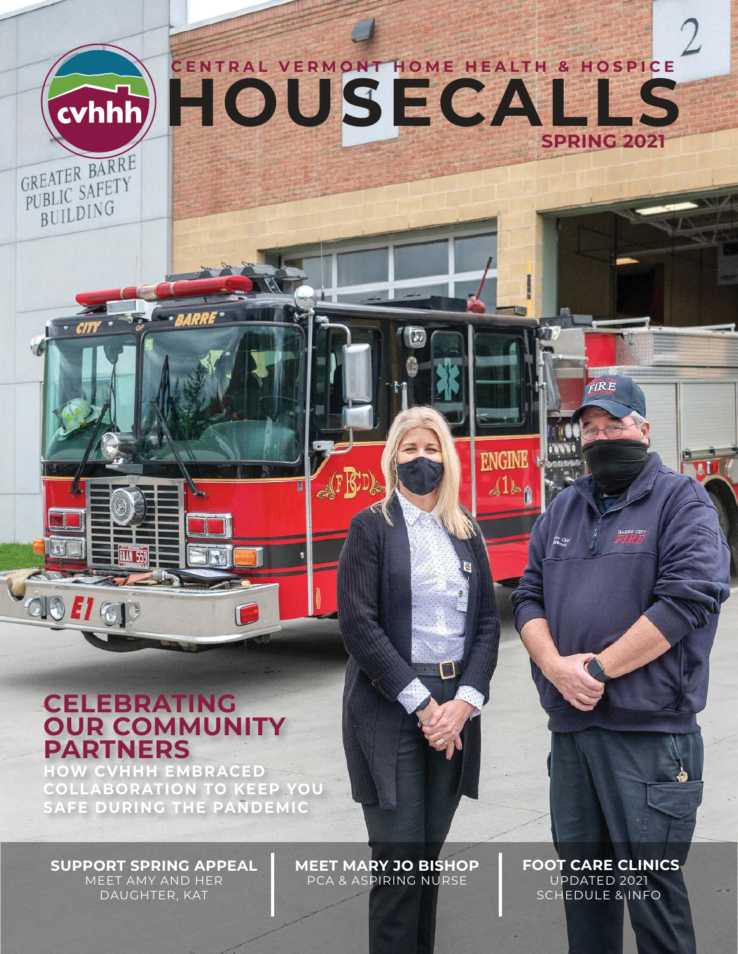

BUILDING

**OO #1 @p** 

**HOUSECALLS CENTRAL VERMONT HOME HEALTH & HOSPICE SPRING 2021** 

#### **CELEBRATING OUR COMMUNITY PARTNERS**

**HOW CVHHH EMBRACED COLLABORATION TO KEEP YOU SAFE DURING THE PANDEMIC**

**ARRE** 

**SUPPORT SPRING APPEAL** MEET AMY AND HER DAUGHTER, KAT

**MEET MARY JO BISHOP** PCA & ASPIRING NURSE

 **FOOT CARE CLINICS** UPDATED 2021 SCHEDULE & INFO

 $R\ddot{R}E$ 

**BARRE CTT** 

**ENGINE** 

11)

高空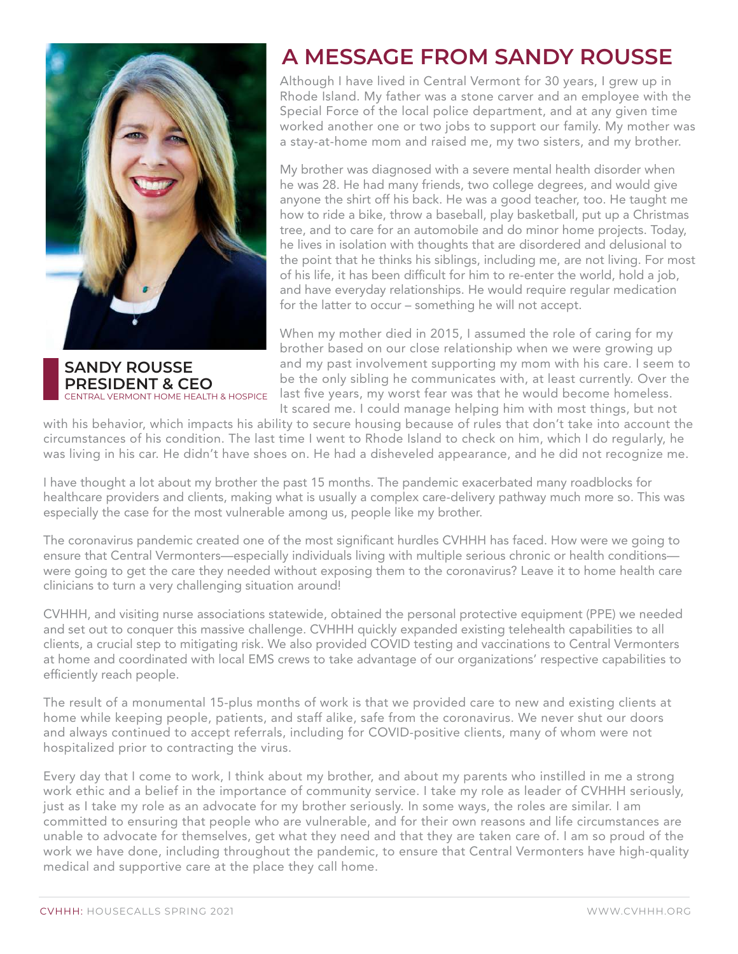

**SANDY ROUSSE PRESIDENT & CEO**  CENTRAL VERMONT HOME HEALTH & HOSPICE

#### **A MESSAGE FROM SANDY ROUSSE**

Although I have lived in Central Vermont for 30 years, I grew up in Rhode Island. My father was a stone carver and an employee with the Special Force of the local police department, and at any given time worked another one or two jobs to support our family. My mother was a stay-at-home mom and raised me, my two sisters, and my brother.

My brother was diagnosed with a severe mental health disorder when he was 28. He had many friends, two college degrees, and would give anyone the shirt off his back. He was a good teacher, too. He taught me how to ride a bike, throw a baseball, play basketball, put up a Christmas tree, and to care for an automobile and do minor home projects. Today, he lives in isolation with thoughts that are disordered and delusional to the point that he thinks his siblings, including me, are not living. For most of his life, it has been difficult for him to re-enter the world, hold a job, and have everyday relationships. He would require regular medication for the latter to occur – something he will not accept.

When my mother died in 2015, I assumed the role of caring for my brother based on our close relationship when we were growing up and my past involvement supporting my mom with his care. I seem to be the only sibling he communicates with, at least currently. Over the last five years, my worst fear was that he would become homeless. It scared me. I could manage helping him with most things, but not

with his behavior, which impacts his ability to secure housing because of rules that don't take into account the circumstances of his condition. The last time I went to Rhode Island to check on him, which I do regularly, he was living in his car. He didn't have shoes on. He had a disheveled appearance, and he did not recognize me.

I have thought a lot about my brother the past 15 months. The pandemic exacerbated many roadblocks for healthcare providers and clients, making what is usually a complex care-delivery pathway much more so. This was especially the case for the most vulnerable among us, people like my brother.

The coronavirus pandemic created one of the most significant hurdles CVHHH has faced. How were we going to ensure that Central Vermonters—especially individuals living with multiple serious chronic or health conditions were going to get the care they needed without exposing them to the coronavirus? Leave it to home health care clinicians to turn a very challenging situation around!

CVHHH, and visiting nurse associations statewide, obtained the personal protective equipment (PPE) we needed and set out to conquer this massive challenge. CVHHH quickly expanded existing telehealth capabilities to all clients, a crucial step to mitigating risk. We also provided COVID testing and vaccinations to Central Vermonters at home and coordinated with local EMS crews to take advantage of our organizations' respective capabilities to efficiently reach people.

The result of a monumental 15-plus months of work is that we provided care to new and existing clients at home while keeping people, patients, and staff alike, safe from the coronavirus. We never shut our doors and always continued to accept referrals, including for COVID-positive clients, many of whom were not hospitalized prior to contracting the virus.

Every day that I come to work, I think about my brother, and about my parents who instilled in me a strong work ethic and a belief in the importance of community service. I take my role as leader of CVHHH seriously, just as I take my role as an advocate for my brother seriously. In some ways, the roles are similar. I am committed to ensuring that people who are vulnerable, and for their own reasons and life circumstances are unable to advocate for themselves, get what they need and that they are taken care of. I am so proud of the work we have done, including throughout the pandemic, to ensure that Central Vermonters have high-quality medical and supportive care at the place they call home.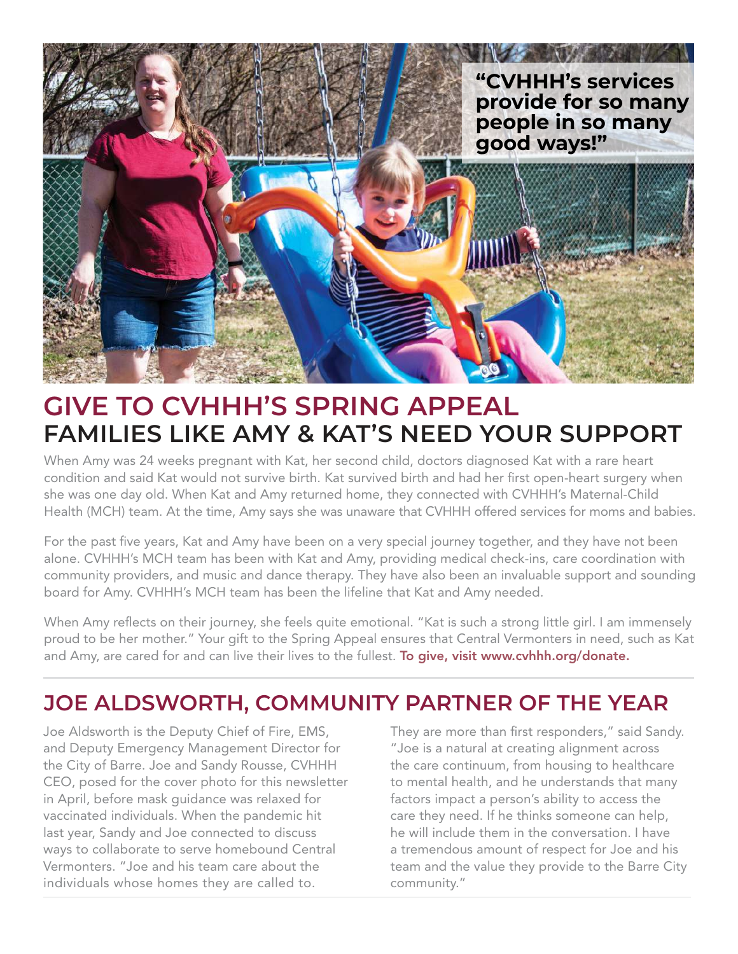

# **GIVE TO CVHHH'S SPRING APPEAL FAMILIES LIKE AMY & KAT'S NEED YOUR SUPPORT**

When Amy was 24 weeks pregnant with Kat, her second child, doctors diagnosed Kat with a rare heart condition and said Kat would not survive birth. Kat survived birth and had her first open-heart surgery when she was one day old. When Kat and Amy returned home, they connected with CVHHH's Maternal-Child Health (MCH) team. At the time, Amy says she was unaware that CVHHH offered services for moms and babies.

For the past five years, Kat and Amy have been on a very special journey together, and they have not been alone. CVHHH's MCH team has been with Kat and Amy, providing medical check-ins, care coordination with community providers, and music and dance therapy. They have also been an invaluable support and sounding board for Amy. CVHHH's MCH team has been the lifeline that Kat and Amy needed.

When Amy reflects on their journey, she feels quite emotional. "Kat is such a strong little girl. I am immensely proud to be her mother." Your gift to the Spring Appeal ensures that Central Vermonters in need, such as Kat and Amy, are cared for and can live their lives to the fullest. To give, visit www.cvhhh.org/donate.

## **JOE ALDSWORTH, COMMUNITY PARTNER OF THE YEAR**

Joe Aldsworth is the Deputy Chief of Fire, EMS, and Deputy Emergency Management Director for the City of Barre. Joe and Sandy Rousse, CVHHH CEO, posed for the cover photo for this newsletter in April, before mask guidance was relaxed for vaccinated individuals. When the pandemic hit last year, Sandy and Joe connected to discuss ways to collaborate to serve homebound Central Vermonters. "Joe and his team care about the individuals whose homes they are called to.

They are more than first responders," said Sandy. "Joe is a natural at creating alignment across the care continuum, from housing to healthcare to mental health, and he understands that many factors impact a person's ability to access the care they need. If he thinks someone can help, he will include them in the conversation. I have a tremendous amount of respect for Joe and his team and the value they provide to the Barre City community."